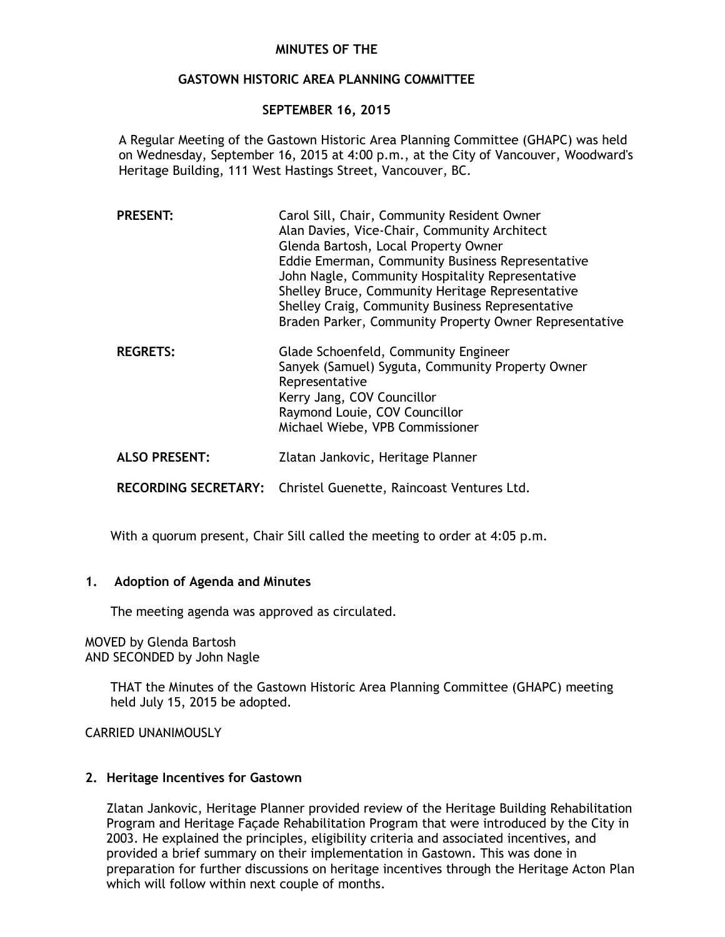# **MINUTES OF THE**

# **GASTOWN HISTORIC AREA PLANNING COMMITTEE**

# **SEPTEMBER 16, 2015**

A Regular Meeting of the Gastown Historic Area Planning Committee (GHAPC) was held on Wednesday, September 16, 2015 at 4:00 p.m., at the City of Vancouver, Woodward's Heritage Building, 111 West Hastings Street, Vancouver, BC.

| <b>PRESENT:</b> | Carol Sill, Chair, Community Resident Owner<br>Alan Davies, Vice-Chair, Community Architect<br>Glenda Bartosh, Local Property Owner<br>Eddie Emerman, Community Business Representative<br>John Nagle, Community Hospitality Representative<br>Shelley Bruce, Community Heritage Representative<br>Shelley Craig, Community Business Representative<br>Braden Parker, Community Property Owner Representative |
|-----------------|---------------------------------------------------------------------------------------------------------------------------------------------------------------------------------------------------------------------------------------------------------------------------------------------------------------------------------------------------------------------------------------------------------------|
| <b>REGRETS:</b> | Glade Schoenfeld, Community Engineer<br>Sanyek (Samuel) Syguta, Community Property Owner<br>Representative<br>Kerry Jang, COV Councillor<br>Raymond Louie, COV Councillor<br>Michael Wiebe, VPB Commissioner                                                                                                                                                                                                  |

**ALSO PRESENT:** Zlatan Jankovic, Heritage Planner

**RECORDING SECRETARY:** Christel Guenette, Raincoast Ventures Ltd.

With a quorum present, Chair Sill called the meeting to order at 4:05 p.m.

#### **1. Adoption of Agenda and Minutes**

The meeting agenda was approved as circulated.

MOVED by Glenda Bartosh AND SECONDED by John Nagle

> THAT the Minutes of the Gastown Historic Area Planning Committee (GHAPC) meeting held July 15, 2015 be adopted.

CARRIED UNANIMOUSLY

#### **2. Heritage Incentives for Gastown**

Zlatan Jankovic, Heritage Planner provided review of the Heritage Building Rehabilitation Program and Heritage Façade Rehabilitation Program that were introduced by the City in 2003. He explained the principles, eligibility criteria and associated incentives, and provided a brief summary on their implementation in Gastown. This was done in preparation for further discussions on heritage incentives through the Heritage Acton Plan which will follow within next couple of months.